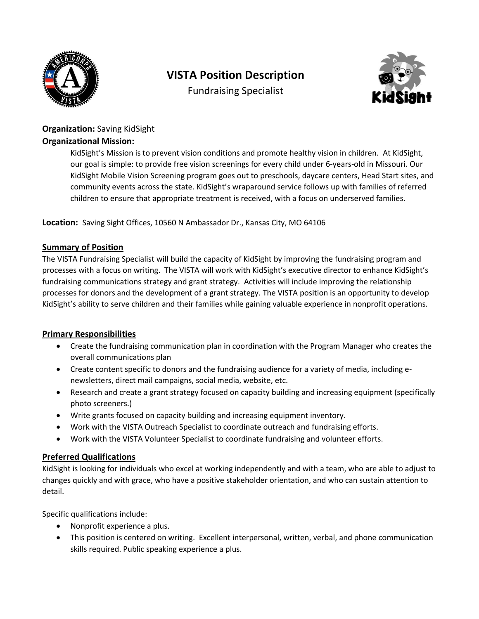

# **VISTA Position Description**

Fundraising Specialist



# **Organization:** Saving KidSight **Organizational Mission:**

KidSight's Mission is to prevent vision conditions and promote healthy vision in children. At KidSight, our goal is simple: to provide free vision screenings for every child under 6-years-old in Missouri. Our KidSight Mobile Vision Screening program goes out to preschools, daycare centers, Head Start sites, and community events across the state. KidSight's wraparound service follows up with families of referred children to ensure that appropriate treatment is received, with a focus on underserved families.

**Location:** Saving Sight Offices, 10560 N Ambassador Dr., Kansas City, MO 64106

## **Summary of Position**

The VISTA Fundraising Specialist will build the capacity of KidSight by improving the fundraising program and processes with a focus on writing. The VISTA will work with KidSight's executive director to enhance KidSight's fundraising communications strategy and grant strategy. Activities will include improving the relationship processes for donors and the development of a grant strategy. The VISTA position is an opportunity to develop KidSight's ability to serve children and their families while gaining valuable experience in nonprofit operations.

### **Primary Responsibilities**

- Create the fundraising communication plan in coordination with the Program Manager who creates the overall communications plan
- Create content specific to donors and the fundraising audience for a variety of media, including enewsletters, direct mail campaigns, social media, website, etc.
- Research and create a grant strategy focused on capacity building and increasing equipment (specifically photo screeners.)
- Write grants focused on capacity building and increasing equipment inventory.
- Work with the VISTA Outreach Specialist to coordinate outreach and fundraising efforts.
- Work with the VISTA Volunteer Specialist to coordinate fundraising and volunteer efforts.

### **Preferred Qualifications**

KidSight is looking for individuals who excel at working independently and with a team, who are able to adjust to changes quickly and with grace, who have a positive stakeholder orientation, and who can sustain attention to detail.

Specific qualifications include:

- Nonprofit experience a plus.
- This position is centered on writing. Excellent interpersonal, written, verbal, and phone communication skills required. Public speaking experience a plus.